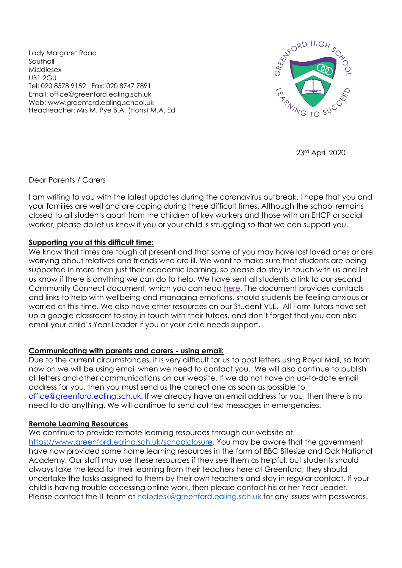Lady Margaret Road Southall Middlesex UB1 2GU Tel: 020 8578 9152 Fax: 020 8747 7891 Email: office@greenford.ealing.sch.uk Web: www.greenford.ealing.school.uk Headteacher: Mrs M. Pye B.A. (Hons) M.A. Ed



23rd April 2020

# Dear Parents / Carers

I am writing to you with the latest updates during the coronavirus outbreak. I hope that you and your families are well and are coping during these difficult times. Although the school remains closed to all students apart from the children of key workers and those with an EHCP or social worker, please do let us know if you or your child is struggling so that we can support you.

# **Supporting you at this difficult time:**

We know that times are tough at present and that some of you may have lost loved ones or are worrying about relatives and friends who are ill. We want to make sure that students are being supported in more than just their academic learning, so please do stay in touch with us and let us know if there is anything we can do to help. We have sent all students a link to our second Community Connect document, which you can read [here.](https://drive.google.com/open?id=1Lyyx3MWjIXysbZAt775n5gLIj0auBPDz) The document provides contacts and links to help with wellbeing and managing emotions, should students be feeling anxious or worried at this time. We also have other resources on our Student VLE. All Form Tutors have set up a google classroom to stay in touch with their tutees, and don't forget that you can also email your child's Year Leader if you or your child needs support.

#### **Communicating with parents and carers - using email:**

Due to the current circumstances, it is very difficult for us to post letters using Royal Mail, so from now on we will be using email when we need to contact you. We will also continue to publish all letters and other communications on our website. If we do not have an up-to-date email address for you, then you must send us the correct one as soon as possible to [office@greenford.ealing.sch.uk.](mailto:office@greenford.ealing.sch.uk) If we already have an email address for you, then there is no need to do anything. We will continue to send out text messages in emergencies.

#### **Remote Learning Resources**

We continue to provide remote learning resources through our website at [https://www.greenford.ealing.sch.uk/schoolclosure.](https://www.greenford.ealing.sch.uk/schoolclosure) You may be aware that the government have now provided some home learning resources in the form of BBC Bitesize and Oak National Academy. Our staff may use these resources if they see them as helpful, but students should always take the lead for their learning from their teachers here at Greenford; they should undertake the tasks assigned to them by their own teachers and stay in regular contact. If your child is having trouble accessing online work, then please contact his or her Year Leader. Please contact the IT team at [helpdesk@greenford.ealing.sch.uk](mailto:helpdesk@greenford.ealing.sch.uk) for any issues with passwords.